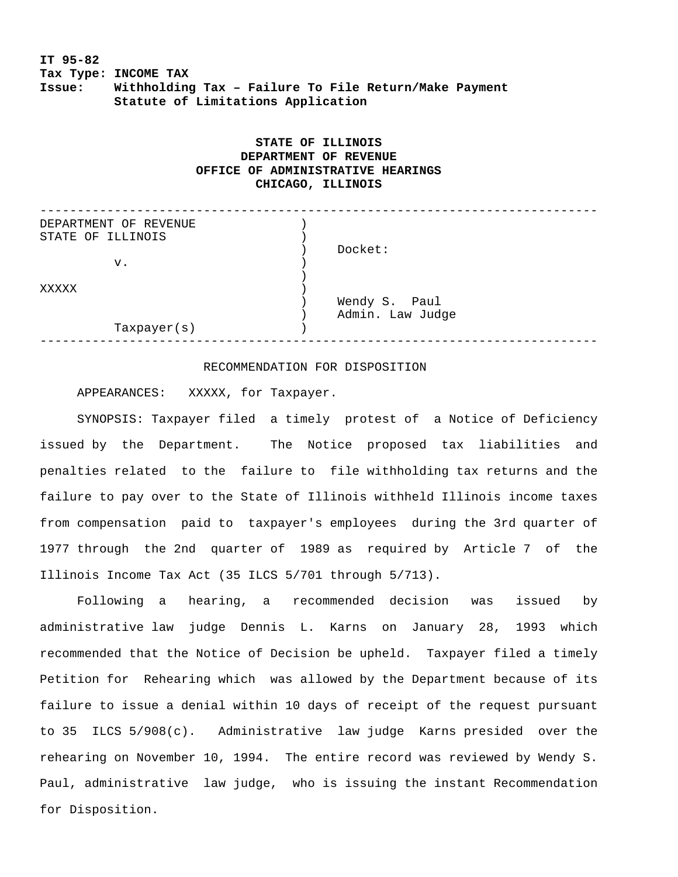## **IT 95-82 Tax Type: INCOME TAX Issue: Withholding Tax – Failure To File Return/Make Payment Statute of Limitations Application**

## **STATE OF ILLINOIS DEPARTMENT OF REVENUE OFFICE OF ADMINISTRATIVE HEARINGS CHICAGO, ILLINOIS**

| DEPARTMENT OF REVENUE |                  |
|-----------------------|------------------|
| STATE OF ILLINOIS     |                  |
|                       | Docket:          |
| v.                    |                  |
|                       |                  |
| XXXXX                 |                  |
|                       | Wendy S. Paul    |
|                       | Admin. Law Judge |
| Taxpayer(s)           |                  |
|                       |                  |

## RECOMMENDATION FOR DISPOSITION

APPEARANCES: XXXXX, for Taxpayer.

 SYNOPSIS: Taxpayer filed a timely protest of a Notice of Deficiency issued by the Department. The Notice proposed tax liabilities and penalties related to the failure to file withholding tax returns and the failure to pay over to the State of Illinois withheld Illinois income taxes from compensation paid to taxpayer's employees during the 3rd quarter of 1977 through the 2nd quarter of 1989 as required by Article 7 of the Illinois Income Tax Act (35 ILCS 5/701 through 5/713).

 Following a hearing, a recommended decision was issued by administrative law judge Dennis L. Karns on January 28, 1993 which recommended that the Notice of Decision be upheld. Taxpayer filed a timely Petition for Rehearing which was allowed by the Department because of its failure to issue a denial within 10 days of receipt of the request pursuant to 35 ILCS 5/908(c). Administrative law judge Karns presided over the rehearing on November 10, 1994. The entire record was reviewed by Wendy S. Paul, administrative law judge, who is issuing the instant Recommendation for Disposition.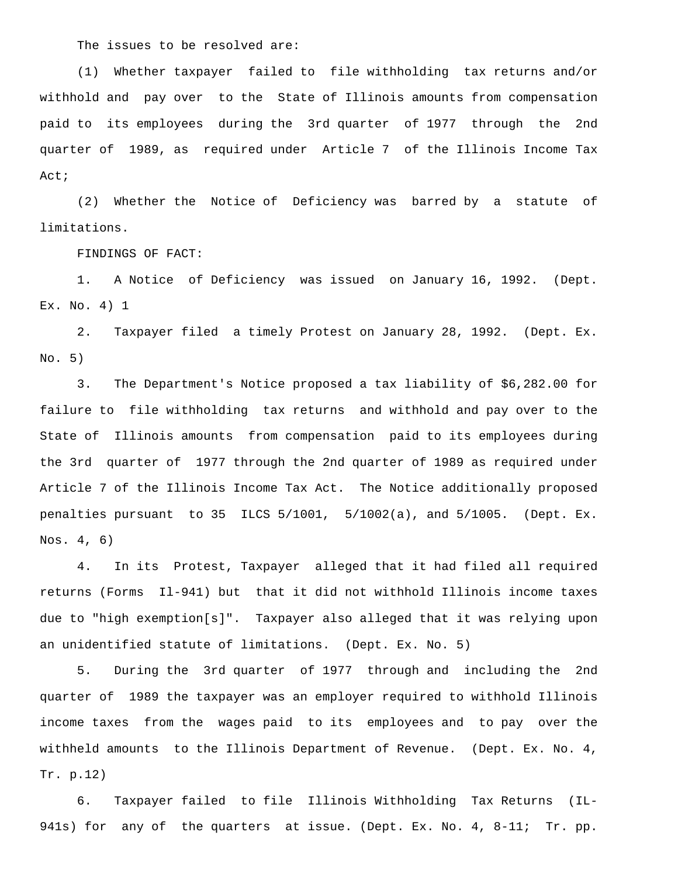The issues to be resolved are:

 (1) Whether taxpayer failed to file withholding tax returns and/or withhold and pay over to the State of Illinois amounts from compensation paid to its employees during the 3rd quarter of 1977 through the 2nd quarter of 1989, as required under Article 7 of the Illinois Income Tax Act;

 (2) Whether the Notice of Deficiency was barred by a statute of limitations.

FINDINGS OF FACT:

 1. A Notice of Deficiency was issued on January 16, 1992. (Dept. Ex. No. 4) 1

 2. Taxpayer filed a timely Protest on January 28, 1992. (Dept. Ex. No. 5)

 3. The Department's Notice proposed a tax liability of \$6,282.00 for failure to file withholding tax returns and withhold and pay over to the State of Illinois amounts from compensation paid to its employees during the 3rd quarter of 1977 through the 2nd quarter of 1989 as required under Article 7 of the Illinois Income Tax Act. The Notice additionally proposed penalties pursuant to 35 ILCS 5/1001, 5/1002(a), and 5/1005. (Dept. Ex. Nos. 4, 6)

 4. In its Protest, Taxpayer alleged that it had filed all required returns (Forms Il-941) but that it did not withhold Illinois income taxes due to "high exemption[s]". Taxpayer also alleged that it was relying upon an unidentified statute of limitations. (Dept. Ex. No. 5)

 5. During the 3rd quarter of 1977 through and including the 2nd quarter of 1989 the taxpayer was an employer required to withhold Illinois income taxes from the wages paid to its employees and to pay over the withheld amounts to the Illinois Department of Revenue. (Dept. Ex. No. 4, Tr. p.12)

 6. Taxpayer failed to file Illinois Withholding Tax Returns (IL-941s) for any of the quarters at issue. (Dept. Ex. No. 4, 8-11; Tr. pp.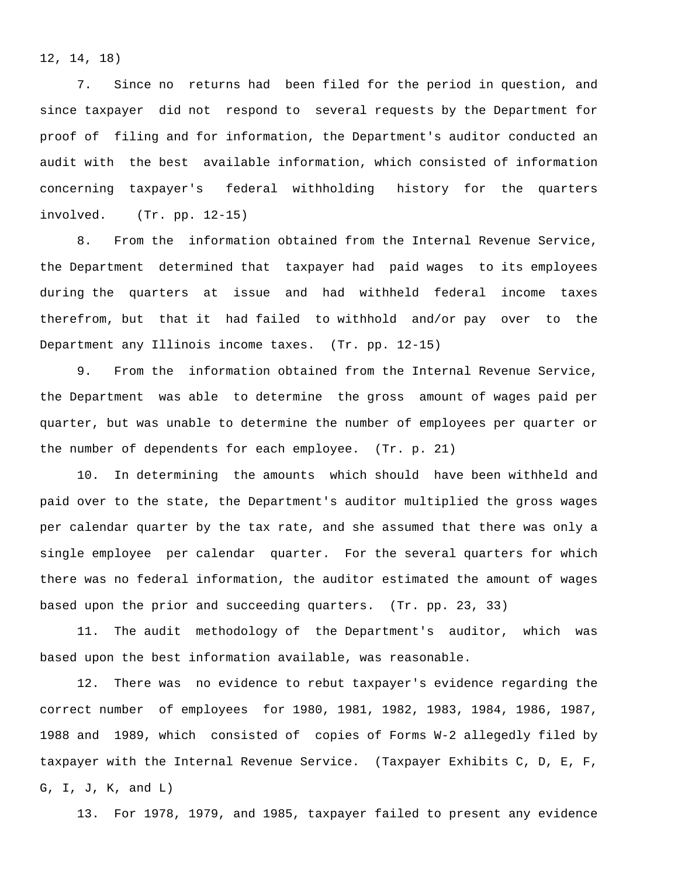12, 14, 18)

 7. Since no returns had been filed for the period in question, and since taxpayer did not respond to several requests by the Department for proof of filing and for information, the Department's auditor conducted an audit with the best available information, which consisted of information concerning taxpayer's federal withholding history for the quarters involved. (Tr. pp. 12-15)

 8. From the information obtained from the Internal Revenue Service, the Department determined that taxpayer had paid wages to its employees during the quarters at issue and had withheld federal income taxes therefrom, but that it had failed to withhold and/or pay over to the Department any Illinois income taxes. (Tr. pp. 12-15)

 9. From the information obtained from the Internal Revenue Service, the Department was able to determine the gross amount of wages paid per quarter, but was unable to determine the number of employees per quarter or the number of dependents for each employee. (Tr. p. 21)

 10. In determining the amounts which should have been withheld and paid over to the state, the Department's auditor multiplied the gross wages per calendar quarter by the tax rate, and she assumed that there was only a single employee per calendar quarter. For the several quarters for which there was no federal information, the auditor estimated the amount of wages based upon the prior and succeeding quarters. (Tr. pp. 23, 33)

 11. The audit methodology of the Department's auditor, which was based upon the best information available, was reasonable.

 12. There was no evidence to rebut taxpayer's evidence regarding the correct number of employees for 1980, 1981, 1982, 1983, 1984, 1986, 1987, 1988 and 1989, which consisted of copies of Forms W-2 allegedly filed by taxpayer with the Internal Revenue Service. (Taxpayer Exhibits C, D, E, F, G, I, J, K, and  $L$ )

13. For 1978, 1979, and 1985, taxpayer failed to present any evidence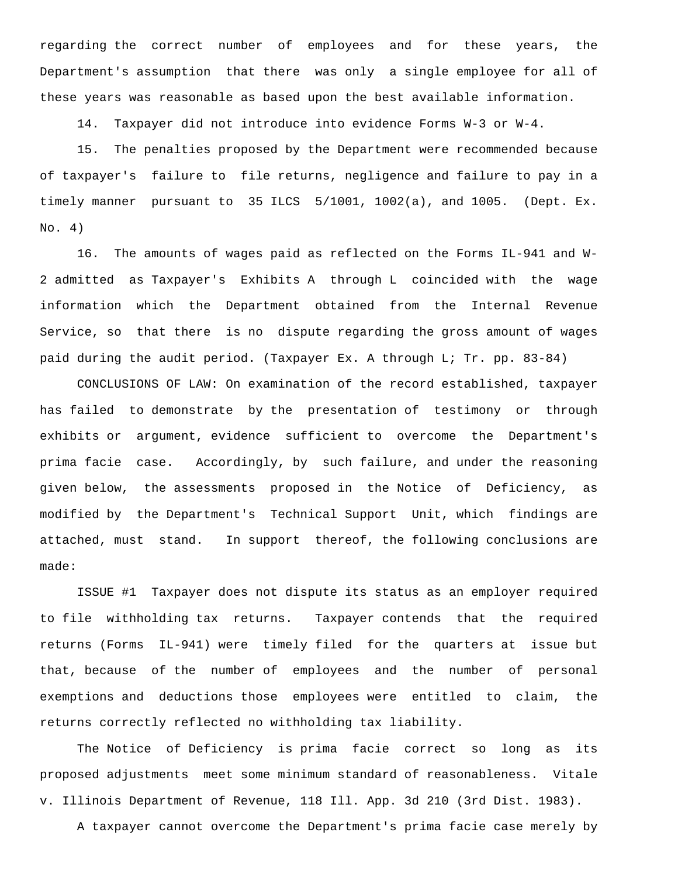regarding the correct number of employees and for these years, the Department's assumption that there was only a single employee for all of these years was reasonable as based upon the best available information.

14. Taxpayer did not introduce into evidence Forms W-3 or W-4.

 15. The penalties proposed by the Department were recommended because of taxpayer's failure to file returns, negligence and failure to pay in a timely manner pursuant to 35 ILCS 5/1001, 1002(a), and 1005. (Dept. Ex. No. 4)

 16. The amounts of wages paid as reflected on the Forms IL-941 and W-2 admitted as Taxpayer's Exhibits A through L coincided with the wage information which the Department obtained from the Internal Revenue Service, so that there is no dispute regarding the gross amount of wages paid during the audit period. (Taxpayer Ex. A through L; Tr. pp. 83-84)

 CONCLUSIONS OF LAW: On examination of the record established, taxpayer has failed to demonstrate by the presentation of testimony or through exhibits or argument, evidence sufficient to overcome the Department's prima facie case. Accordingly, by such failure, and under the reasoning given below, the assessments proposed in the Notice of Deficiency, as modified by the Department's Technical Support Unit, which findings are attached, must stand. In support thereof, the following conclusions are made:

 ISSUE #1 Taxpayer does not dispute its status as an employer required to file withholding tax returns. Taxpayer contends that the required returns (Forms IL-941) were timely filed for the quarters at issue but that, because of the number of employees and the number of personal exemptions and deductions those employees were entitled to claim, the returns correctly reflected no withholding tax liability.

 The Notice of Deficiency is prima facie correct so long as its proposed adjustments meet some minimum standard of reasonableness. Vitale v. Illinois Department of Revenue, 118 Ill. App. 3d 210 (3rd Dist. 1983).

A taxpayer cannot overcome the Department's prima facie case merely by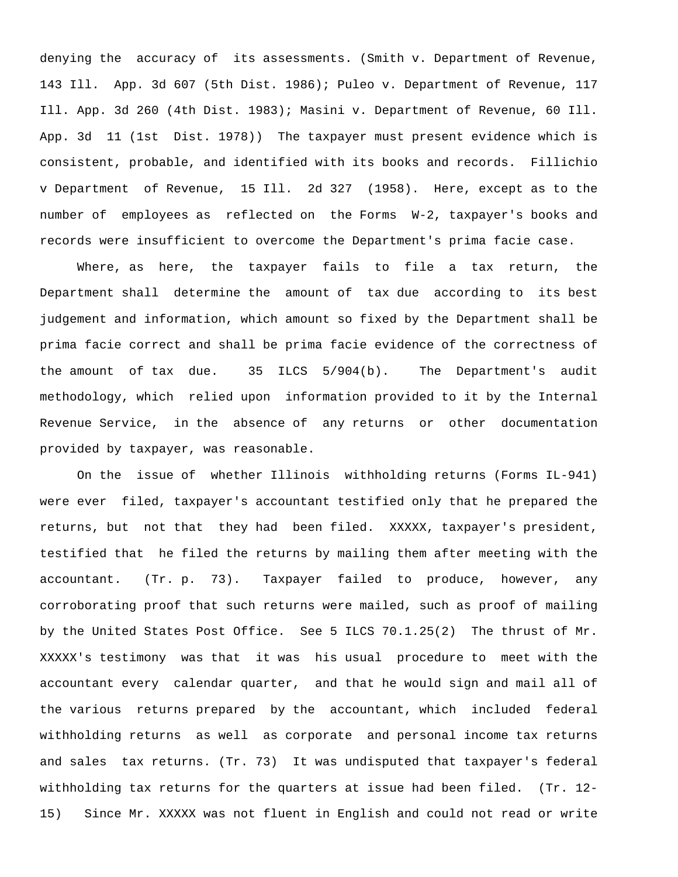denying the accuracy of its assessments. (Smith v. Department of Revenue, 143 Ill. App. 3d 607 (5th Dist. 1986); Puleo v. Department of Revenue, 117 Ill. App. 3d 260 (4th Dist. 1983); Masini v. Department of Revenue, 60 Ill. App. 3d 11 (1st Dist. 1978)) The taxpayer must present evidence which is consistent, probable, and identified with its books and records. Fillichio v Department of Revenue, 15 Ill. 2d 327 (1958). Here, except as to the number of employees as reflected on the Forms W-2, taxpayer's books and records were insufficient to overcome the Department's prima facie case.

 Where, as here, the taxpayer fails to file a tax return, the Department shall determine the amount of tax due according to its best judgement and information, which amount so fixed by the Department shall be prima facie correct and shall be prima facie evidence of the correctness of the amount of tax due. 35 ILCS 5/904(b). The Department's audit methodology, which relied upon information provided to it by the Internal Revenue Service, in the absence of any returns or other documentation provided by taxpayer, was reasonable.

 On the issue of whether Illinois withholding returns (Forms IL-941) were ever filed, taxpayer's accountant testified only that he prepared the returns, but not that they had been filed. XXXXX, taxpayer's president, testified that he filed the returns by mailing them after meeting with the accountant. (Tr. p. 73). Taxpayer failed to produce, however, any corroborating proof that such returns were mailed, such as proof of mailing by the United States Post Office. See 5 ILCS 70.1.25(2) The thrust of Mr. XXXXX's testimony was that it was his usual procedure to meet with the accountant every calendar quarter, and that he would sign and mail all of the various returns prepared by the accountant, which included federal withholding returns as well as corporate and personal income tax returns and sales tax returns. (Tr. 73) It was undisputed that taxpayer's federal withholding tax returns for the quarters at issue had been filed. (Tr. 12- 15) Since Mr. XXXXX was not fluent in English and could not read or write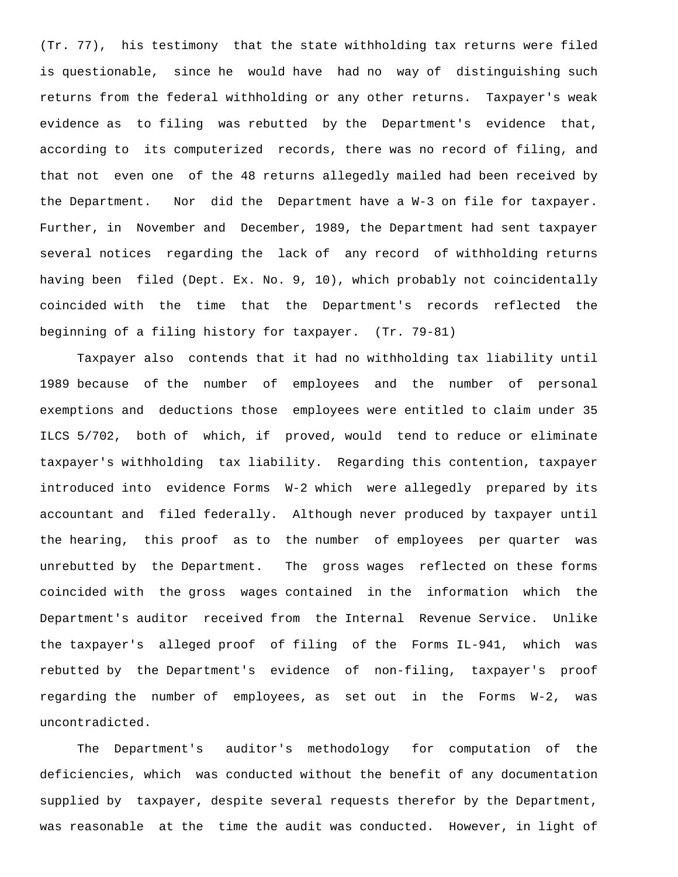(Tr. 77), his testimony that the state withholding tax returns were filed is questionable, since he would have had no way of distinguishing such returns from the federal withholding or any other returns. Taxpayer's weak evidence as to filing was rebutted by the Department's evidence that, according to its computerized records, there was no record of filing, and that not even one of the 48 returns allegedly mailed had been received by the Department. Nor did the Department have a W-3 on file for taxpayer. Further, in November and December, 1989, the Department had sent taxpayer several notices regarding the lack of any record of withholding returns having been filed (Dept. Ex. No. 9, 10), which probably not coincidentally coincided with the time that the Department's records reflected the beginning of a filing history for taxpayer. (Tr. 79-81)

 Taxpayer also contends that it had no withholding tax liability until 1989 because of the number of employees and the number of personal exemptions and deductions those employees were entitled to claim under 35 ILCS 5/702, both of which, if proved, would tend to reduce or eliminate taxpayer's withholding tax liability. Regarding this contention, taxpayer introduced into evidence Forms W-2 which were allegedly prepared by its accountant and filed federally. Although never produced by taxpayer until the hearing, this proof as to the number of employees per quarter was unrebutted by the Department. The gross wages reflected on these forms coincided with the gross wages contained in the information which the Department's auditor received from the Internal Revenue Service. Unlike the taxpayer's alleged proof of filing of the Forms IL-941, which was rebutted by the Department's evidence of non-filing, taxpayer's proof regarding the number of employees, as set out in the Forms W-2, was uncontradicted.

 The Department's auditor's methodology for computation of the deficiencies, which was conducted without the benefit of any documentation supplied by taxpayer, despite several requests therefor by the Department, was reasonable at the time the audit was conducted. However, in light of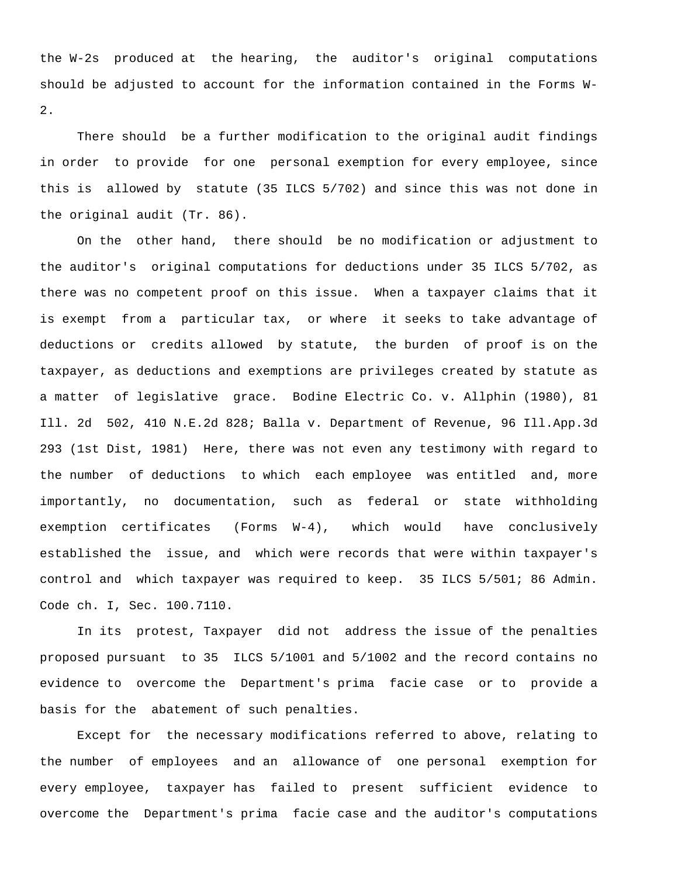the W-2s produced at the hearing, the auditor's original computations should be adjusted to account for the information contained in the Forms W-2.

 There should be a further modification to the original audit findings in order to provide for one personal exemption for every employee, since this is allowed by statute (35 ILCS 5/702) and since this was not done in the original audit (Tr. 86).

 On the other hand, there should be no modification or adjustment to the auditor's original computations for deductions under 35 ILCS 5/702, as there was no competent proof on this issue. When a taxpayer claims that it is exempt from a particular tax, or where it seeks to take advantage of deductions or credits allowed by statute, the burden of proof is on the taxpayer, as deductions and exemptions are privileges created by statute as a matter of legislative grace. Bodine Electric Co. v. Allphin (1980), 81 Ill. 2d 502, 410 N.E.2d 828; Balla v. Department of Revenue, 96 Ill.App.3d 293 (1st Dist, 1981) Here, there was not even any testimony with regard to the number of deductions to which each employee was entitled and, more importantly, no documentation, such as federal or state withholding exemption certificates (Forms W-4), which would have conclusively established the issue, and which were records that were within taxpayer's control and which taxpayer was required to keep. 35 ILCS 5/501; 86 Admin. Code ch. I, Sec. 100.7110.

 In its protest, Taxpayer did not address the issue of the penalties proposed pursuant to 35 ILCS 5/1001 and 5/1002 and the record contains no evidence to overcome the Department's prima facie case or to provide a basis for the abatement of such penalties.

 Except for the necessary modifications referred to above, relating to the number of employees and an allowance of one personal exemption for every employee, taxpayer has failed to present sufficient evidence to overcome the Department's prima facie case and the auditor's computations